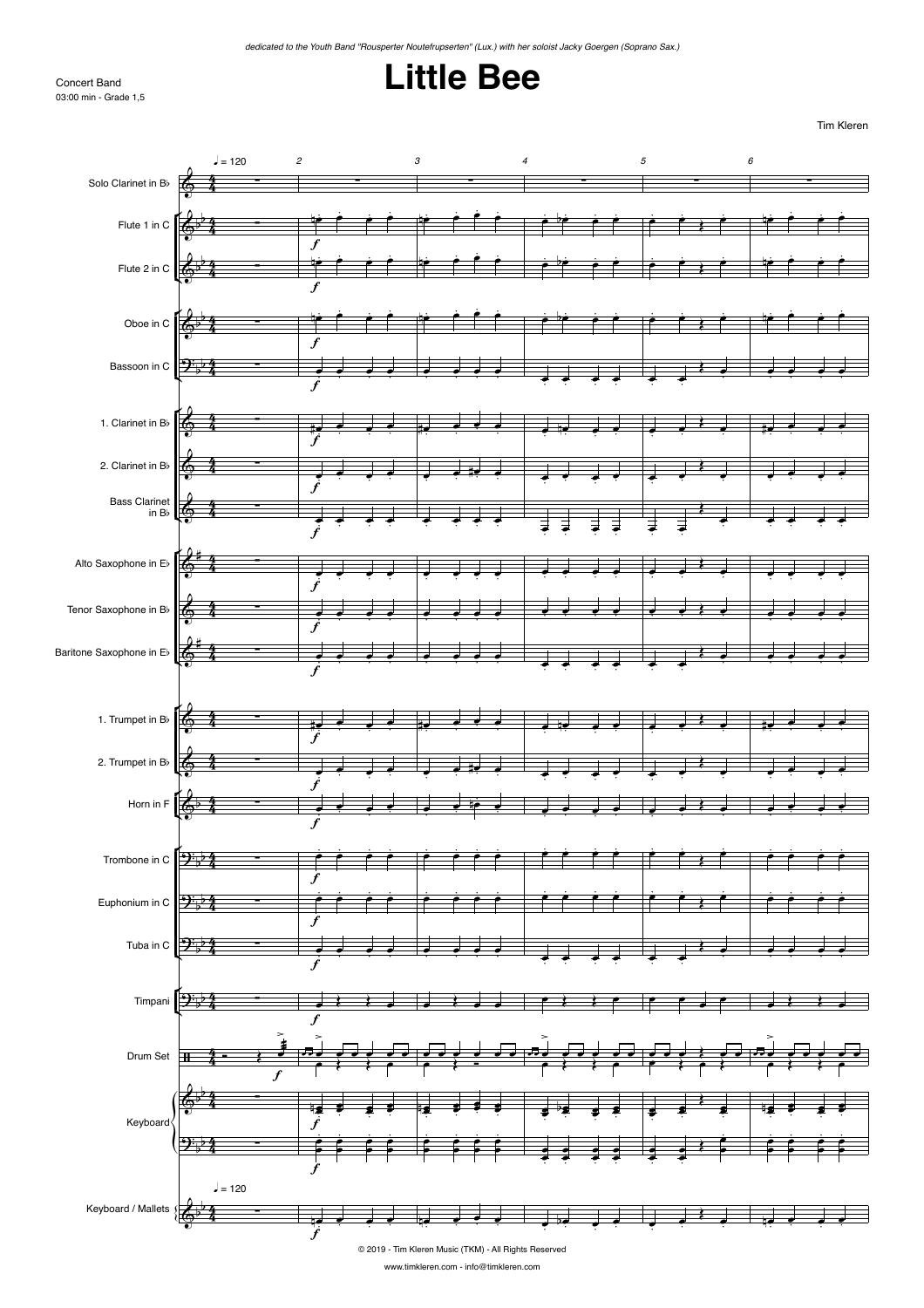**Little Bee**

Concert Band 03:00 min -Grade 1,5

Tim Kleren



www.timkleren.com - info@timkleren.com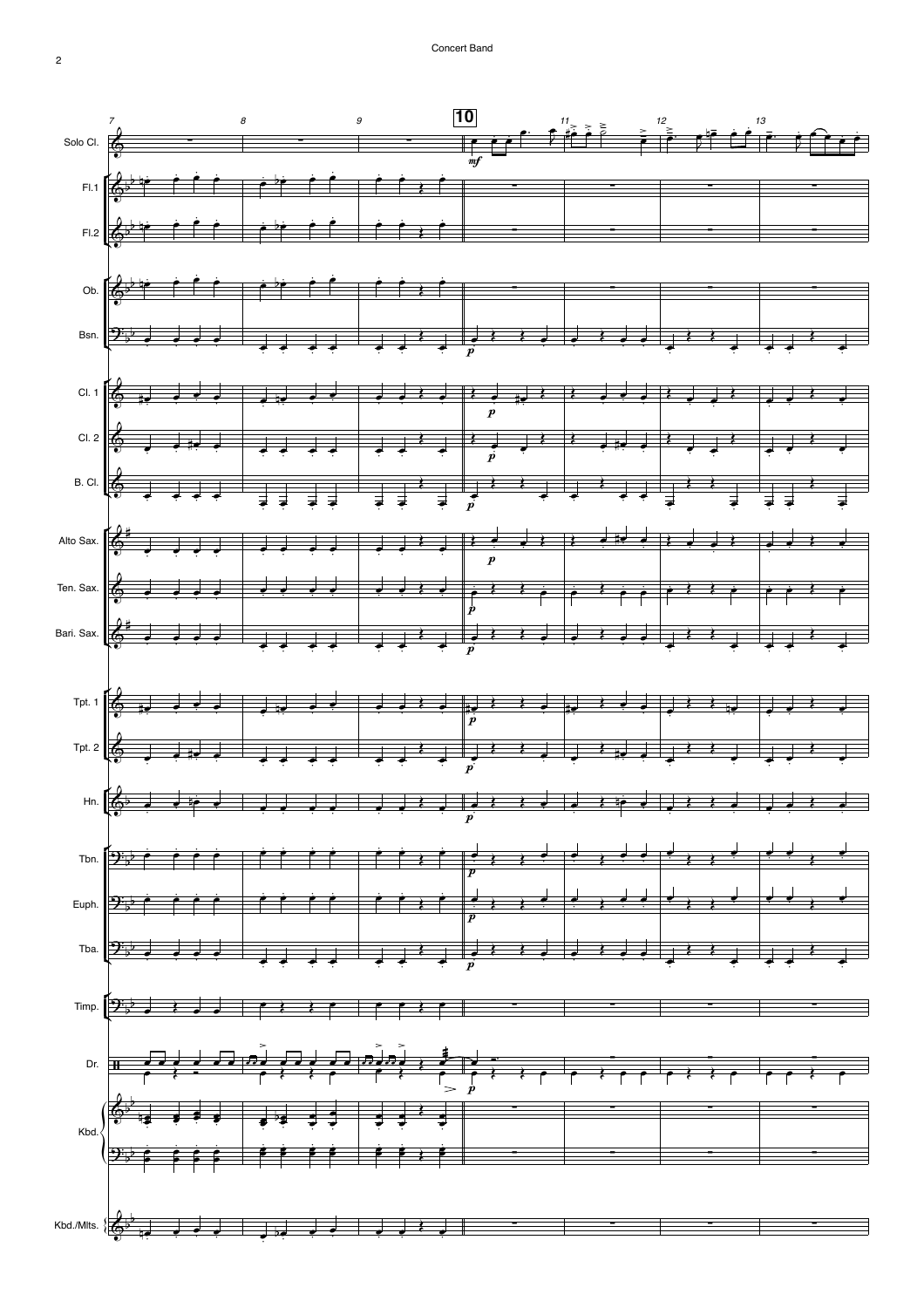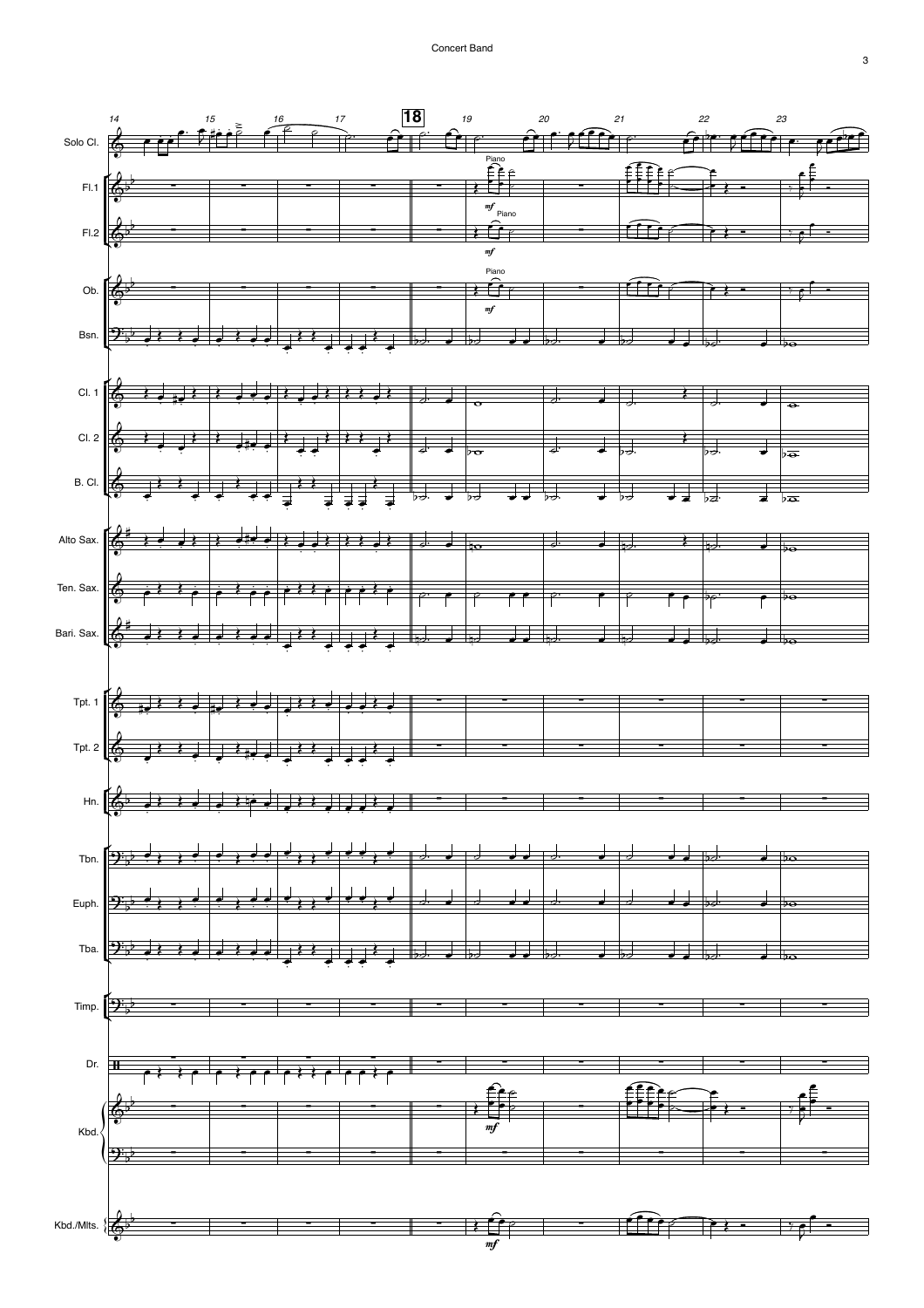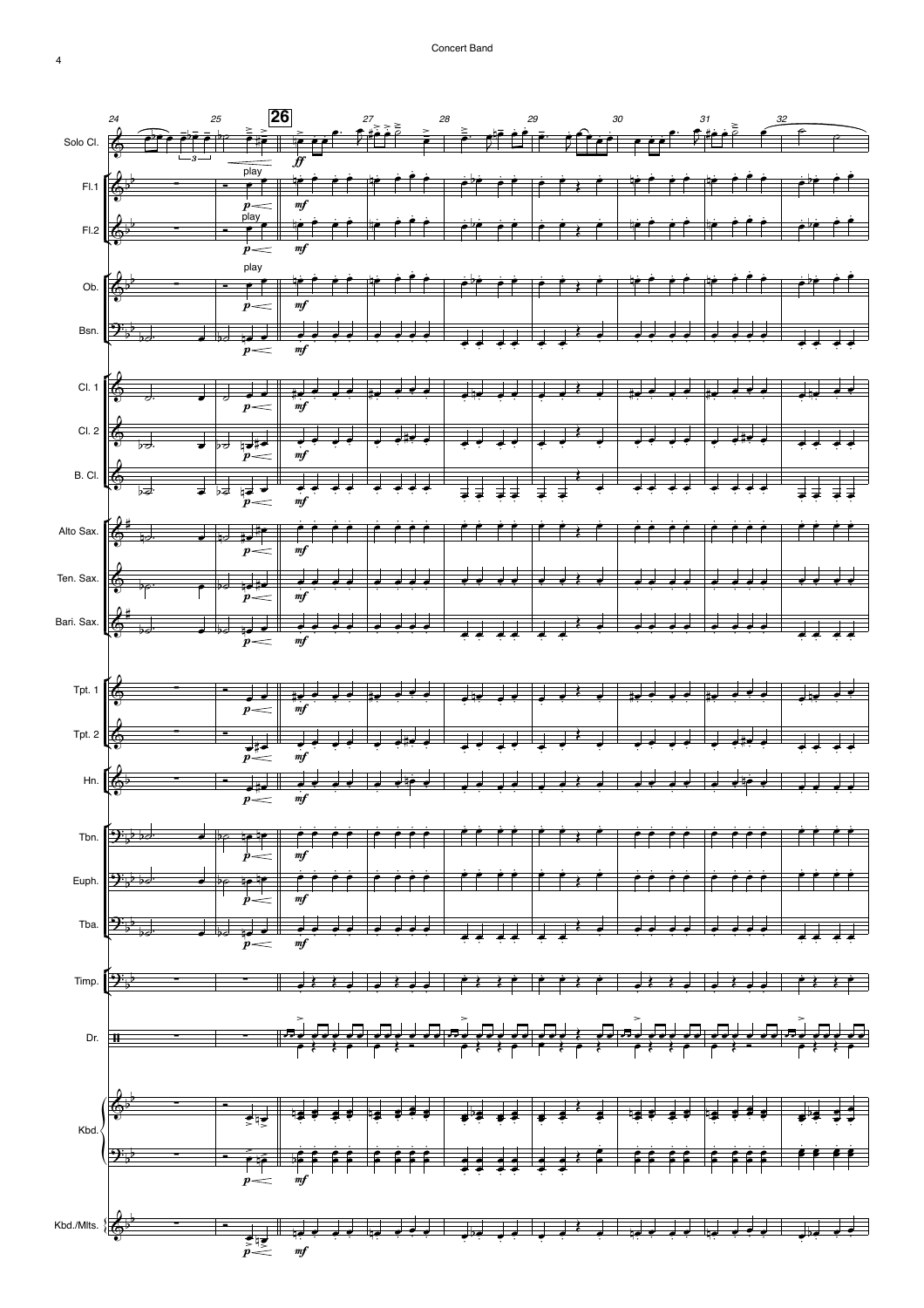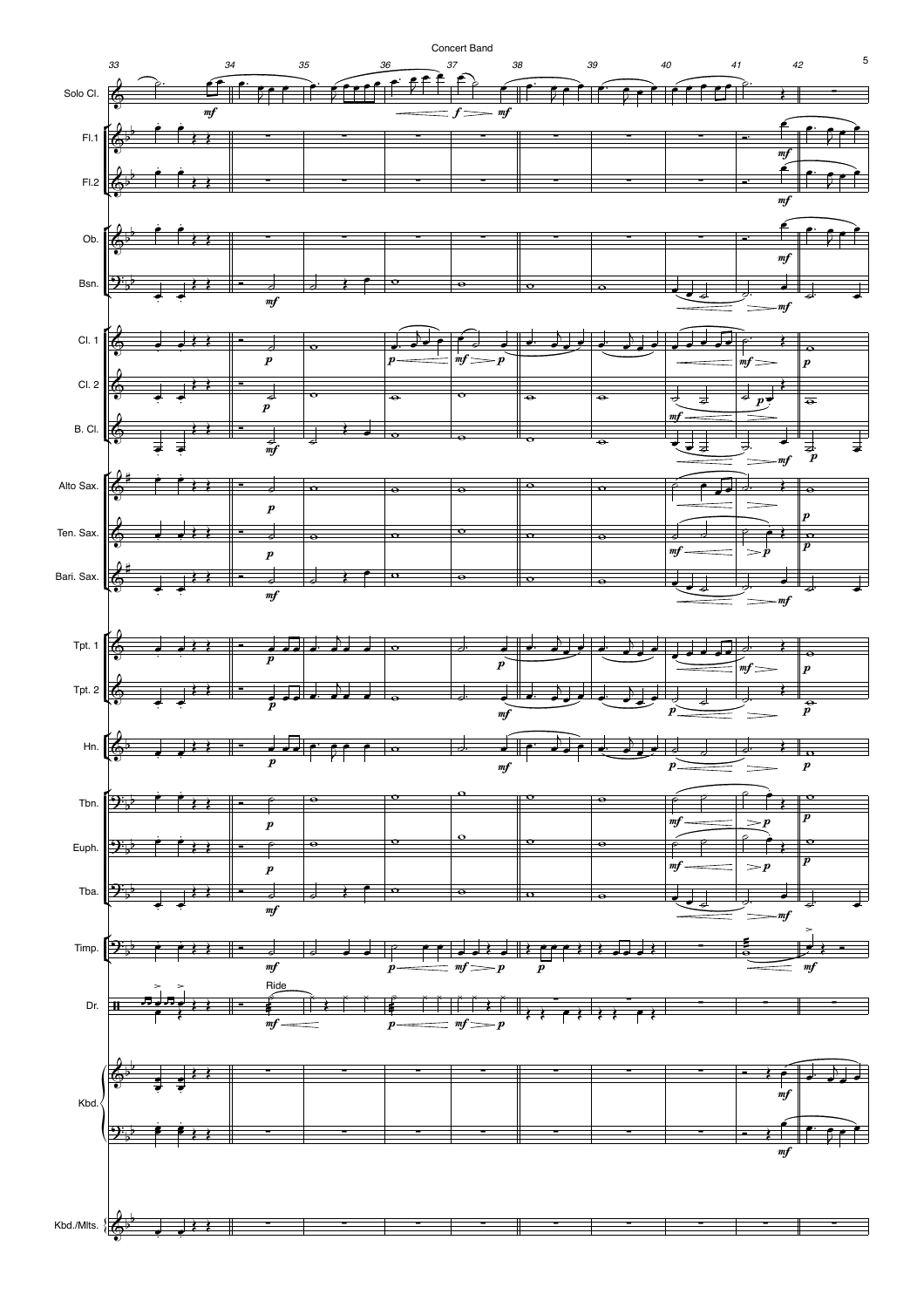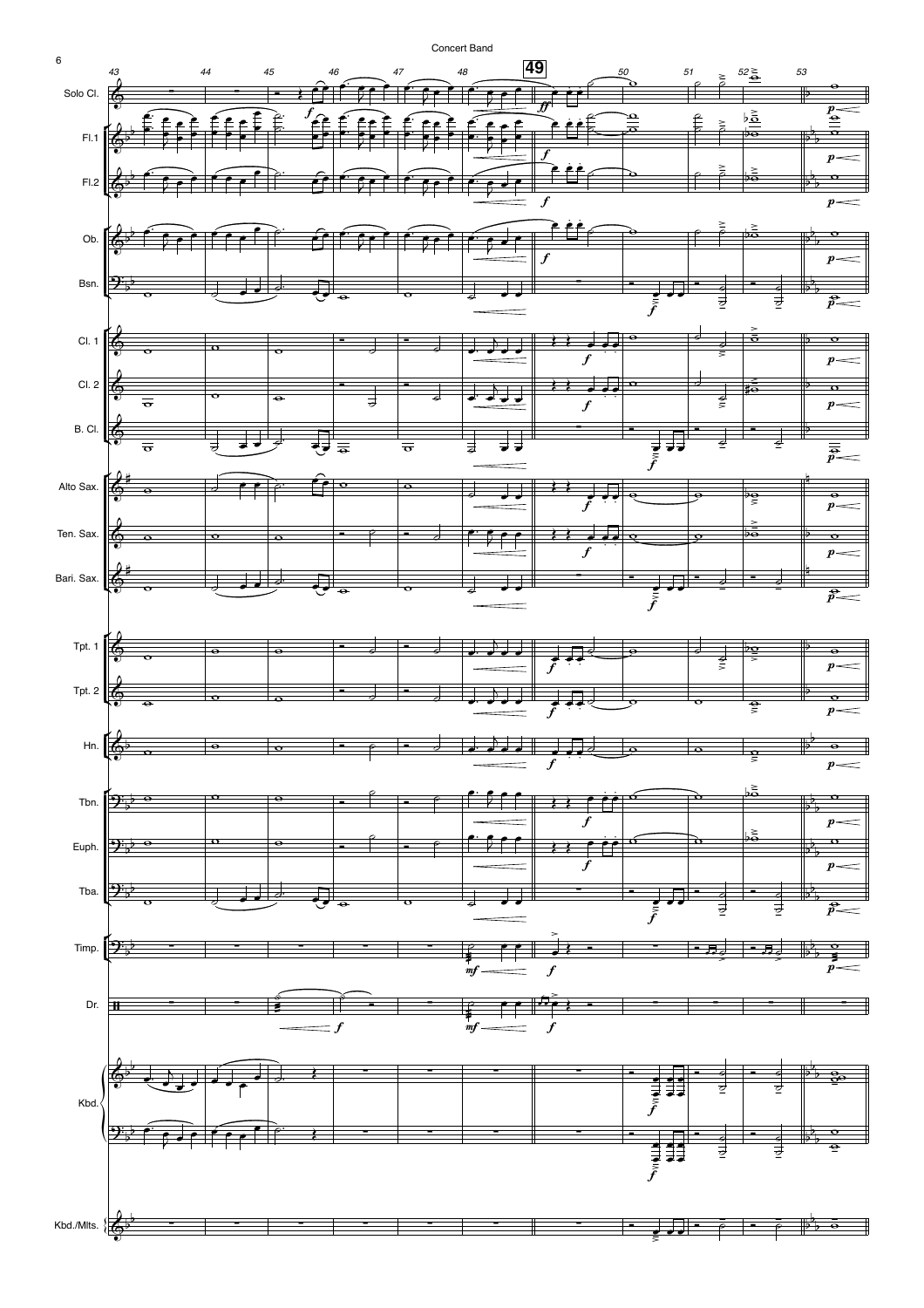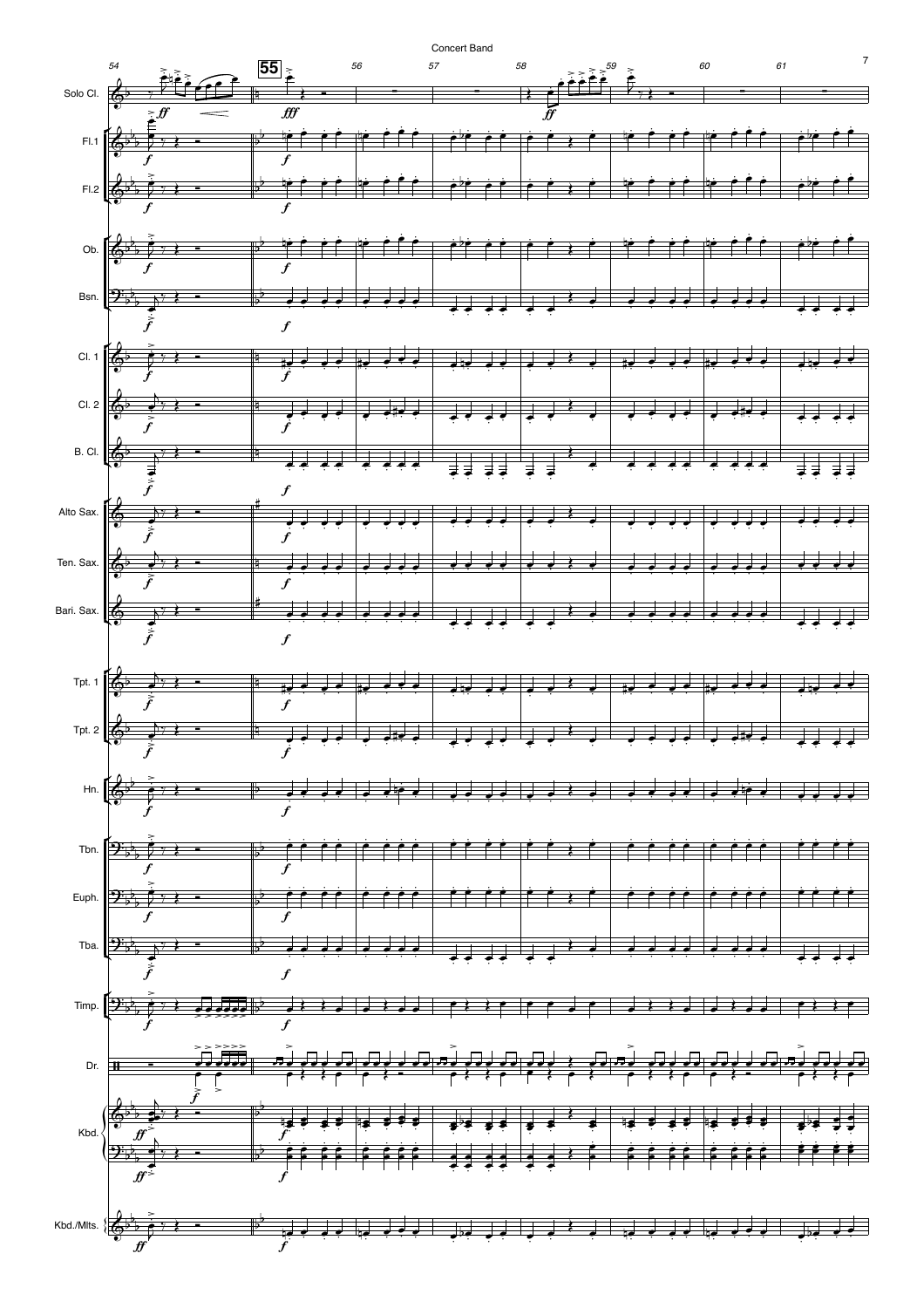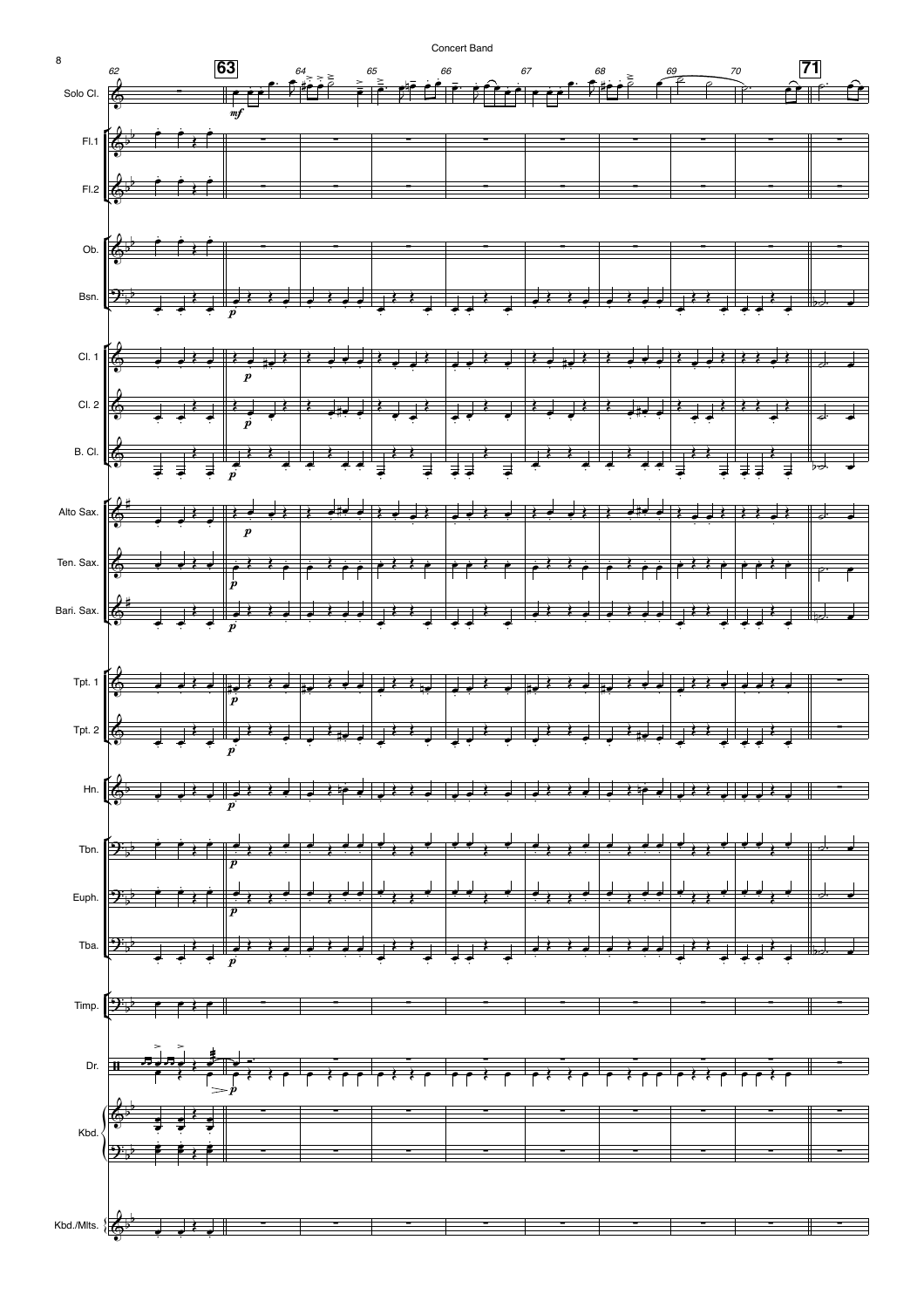![](_page_7_Figure_0.jpeg)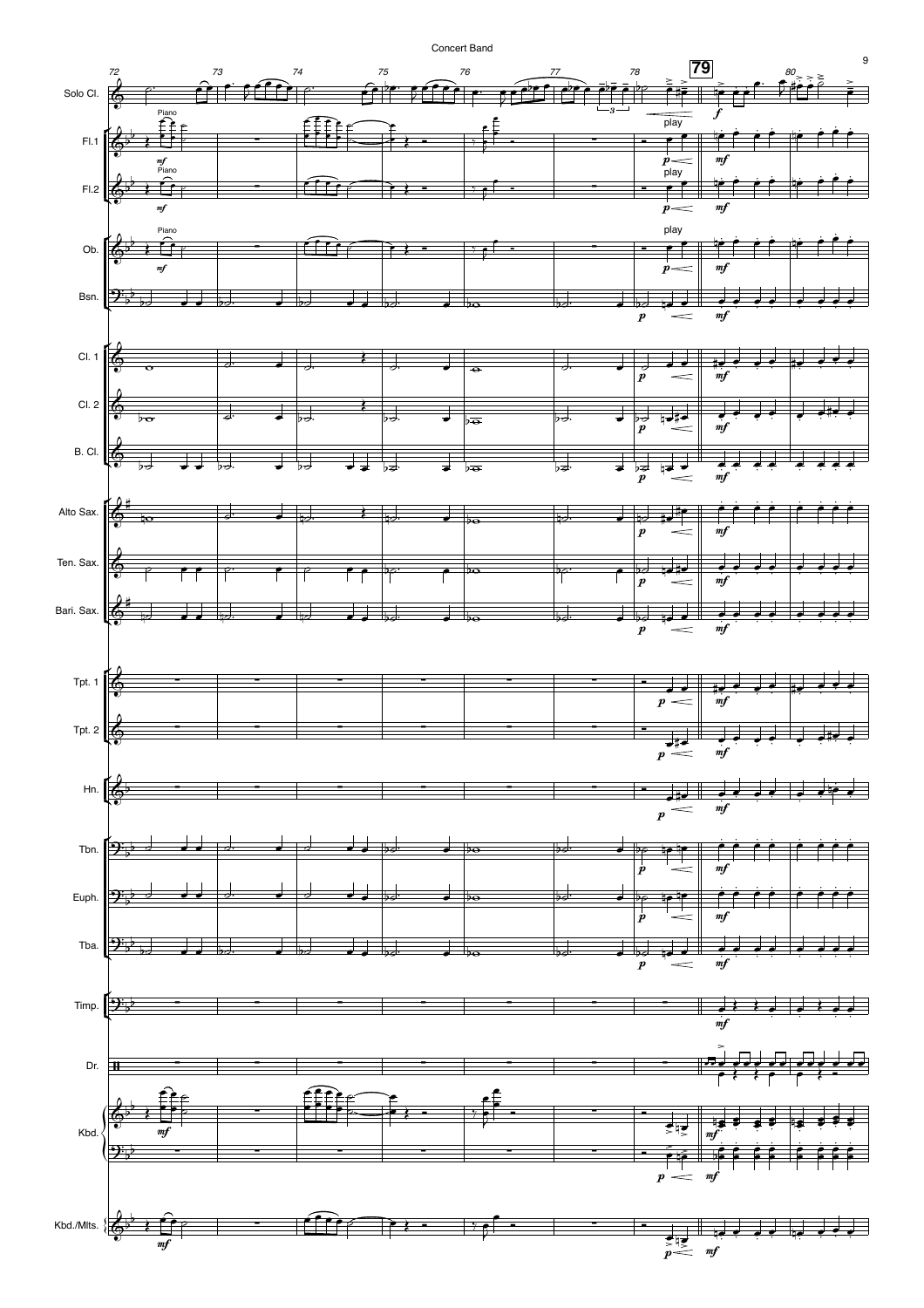![](_page_8_Figure_1.jpeg)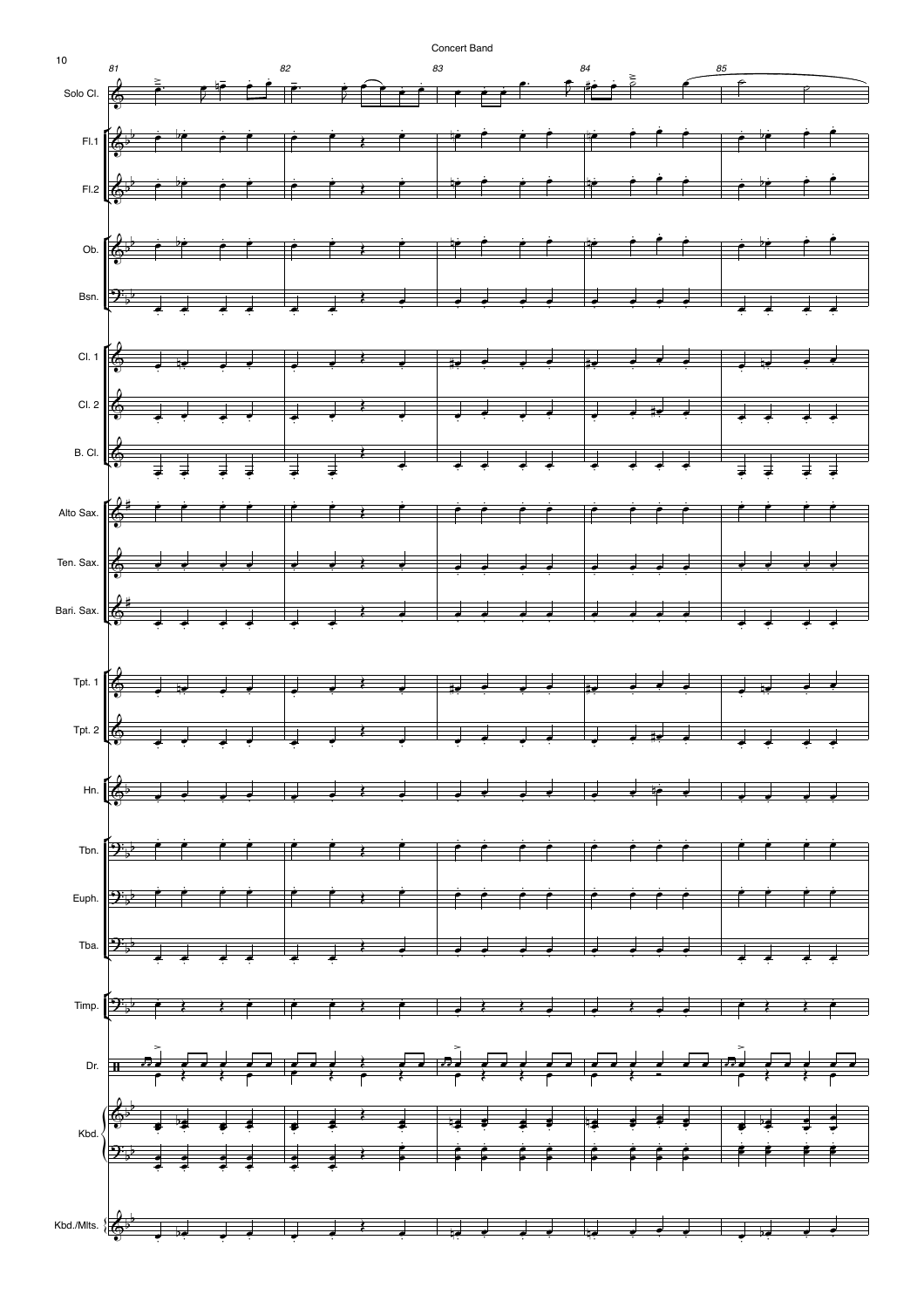Concert Band

![](_page_9_Figure_1.jpeg)